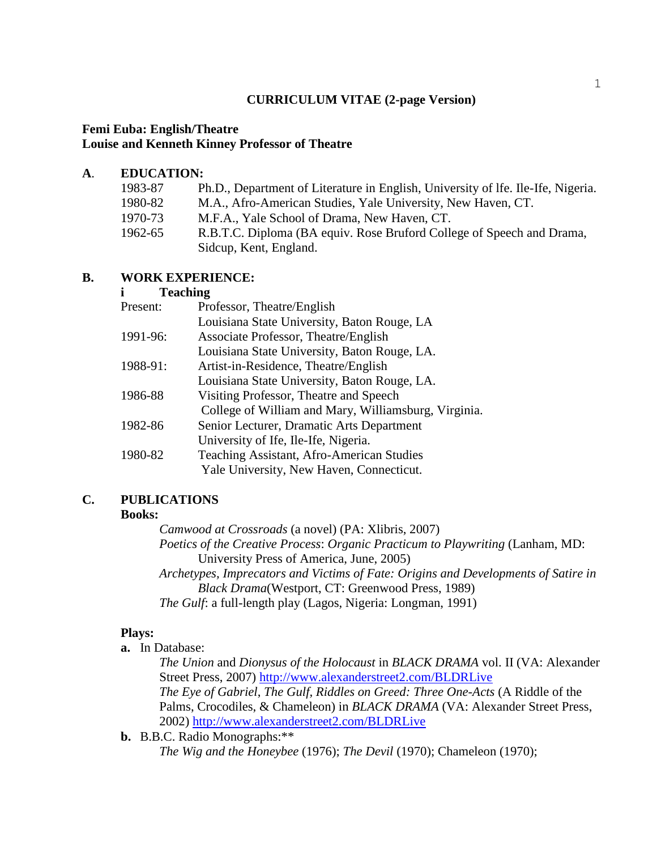# **CURRICULUM VITAE (2-page Version)**

## **Femi Euba: English/Theatre Louise and Kenneth Kinney Professor of Theatre**

## **A**. **EDUCATION:**

| 1983-87 | Ph.D., Department of Literature in English, University of Ife. Ile-Ife, Nigeria. |
|---------|----------------------------------------------------------------------------------|
| 1980-82 | M.A., Afro-American Studies, Yale University, New Haven, CT.                     |
| 1970-73 | M.F.A., Yale School of Drama, New Haven, CT.                                     |
| 1962-65 | R.B.T.C. Diploma (BA equiv. Rose Bruford College of Speech and Drama,            |
|         | Sidcup, Kent, England.                                                           |

## **B. WORK EXPERIENCE:**

## **i Teaching**

| Present: | Professor, Theatre/English                           |
|----------|------------------------------------------------------|
|          | Louisiana State University, Baton Rouge, LA          |
| 1991-96: | Associate Professor, Theatre/English                 |
|          | Louisiana State University, Baton Rouge, LA.         |
| 1988-91: | Artist-in-Residence, Theatre/English                 |
|          | Louisiana State University, Baton Rouge, LA.         |
| 1986-88  | Visiting Professor, Theatre and Speech               |
|          | College of William and Mary, Williamsburg, Virginia. |
| 1982-86  | Senior Lecturer, Dramatic Arts Department            |
|          | University of Ife, Ile-Ife, Nigeria.                 |
| 1980-82  | <b>Teaching Assistant, Afro-American Studies</b>     |
|          | Yale University, New Haven, Connecticut.             |

# **C. PUBLICATIONS**

#### **Books:**

*Camwood at Crossroads* (a novel) (PA: Xlibris, 2007) *Poetics of the Creative Process*: *Organic Practicum to Playwriting* (Lanham, MD: University Press of America, June, 2005) *Archetypes, Imprecators and Victims of Fate: Origins and Developments of Satire in Black Drama*(Westport, CT: Greenwood Press, 1989)

*The Gulf*: a full-length play (Lagos, Nigeria: Longman, 1991)

## **Plays:**

**a.** In Database:

*The Union* and *Dionysus of the Holocaust* in *BLACK DRAMA* vol. II (VA: Alexander Street Press, 2007) [http://www.alexanderstreet2.com/BLDRLive](file:///A:/!ve%20-%20Save%20the%20current%20documentCtrl+S) *The Eye of Gabriel*, *The Gulf, Riddles on Greed: Three One-Acts* (A Riddle of the

Palms, Crocodiles, & Chameleon) in *BLACK DRAMA* (VA: Alexander Street Press, 2002) [http://www.alexanderstreet2.com/BLDRLive](file:///E:/Local%20Settings/Temporary%20Internet%20Files/Content.Outlook/N1CBEHK1/!ve%20-%20Save%20the%20current%20documentCtrl+S)

**b.** B.B.C. Radio Monographs:\*\*

*The Wig and the Honeybee* (1976); *The Devil* (1970); Chameleon (1970);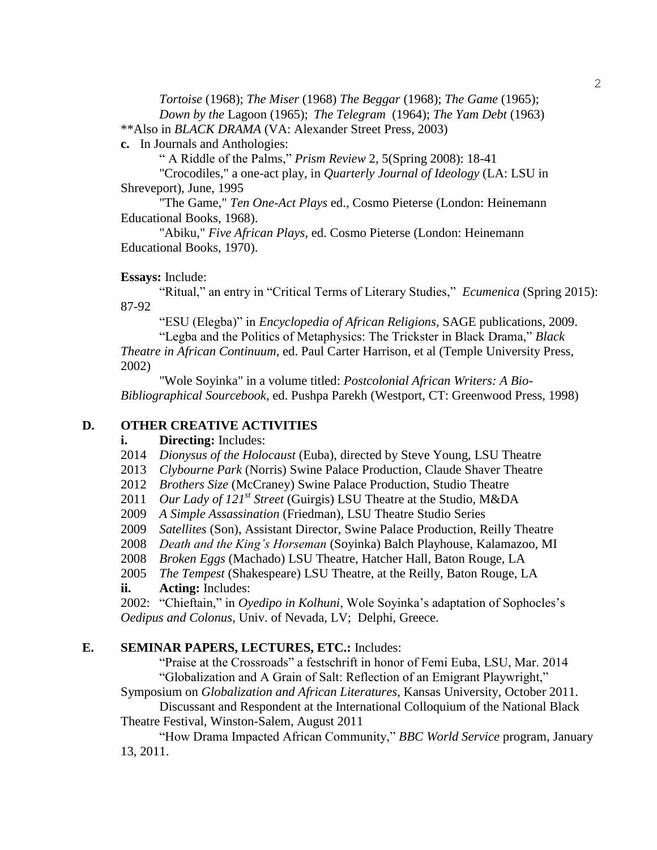*Tortoise* (1968); *The Miser* (1968) *The Beggar* (1968); *The Game* (1965); *Down by the* Lagoon (1965); *The Telegram* (1964); *The Yam Debt* (1963)

\*\*Also in *BLACK DRAMA* (VA: Alexander Street Press, 2003)

**c.** In Journals and Anthologies:

" A Riddle of the Palms," *Prism Review* 2, 5(Spring 2008): 18-41

"Crocodiles," a one-act play, in *Quarterly Journal of Ideology* (LA: LSU in Shreveport), June, 1995

"The Game," *Ten One-Act Plays* ed., Cosmo Pieterse (London: Heinemann Educational Books, 1968).

"Abiku," *Five African Plays*, ed. Cosmo Pieterse (London: Heinemann Educational Books, 1970).

**Essays:** Include:

"Ritual," an entry in "Critical Terms of Literary Studies," *Ecumenica* (Spring 2015): 87-92

"ESU (Elegba)" in *Encyclopedia of African Religions*, SAGE publications, 2009.

"Legba and the Politics of Metaphysics: The Trickster in Black Drama," *Black Theatre in African Continuum*, ed. Paul Carter Harrison, et al (Temple University Press, 2002)

"Wole Soyinka" in a volume titled: *Postcolonial African Writers: A Bio-Bibliographical Sourcebook*, ed. Pushpa Parekh (Westport, CT: Greenwood Press, 1998)

# **D. OTHER CREATIVE ACTIVITIES**

**i. Directing:** Includes:

2014 *Dionysus of the Holocaust* (Euba), directed by Steve Young, LSU Theatre

2013 *Clybourne Park* (Norris) Swine Palace Production, Claude Shaver Theatre

- 2012 *Brothers Size* (McCraney) Swine Palace Production, Studio Theatre
- 2011 *Our Lady of 121st Street* (Guirgis) LSU Theatre at the Studio, M&DA
- 2009 *A Simple Assassination* (Friedman), LSU Theatre Studio Series
- 2009 *Satellites* (Son), Assistant Director, Swine Palace Production, Reilly Theatre
- 2008 *Death and the King's Horseman* (Soyinka) Balch Playhouse, Kalamazoo, MI

2008 *Broken Eggs* (Machado) LSU Theatre, Hatcher Hall, Baton Rouge, LA

2005 *The Tempest* (Shakespeare) LSU Theatre, at the Reilly, Baton Rouge, LA

### **ii. Acting:** Includes:

2002: "Chieftain," in *Oyedipo in Kolhuni*, Wole Soyinka's adaptation of Sophocles's *Oedipus and Colonus*, Univ. of Nevada, LV; Delphi, Greece.

### **E. SEMINAR PAPERS, LECTURES, ETC.:** Includes:

"Praise at the Crossroads" a festschrift in honor of Femi Euba, LSU, Mar. 2014 "Globalization and A Grain of Salt: Reflection of an Emigrant Playwright,"

Symposium on *Globalization and African Literatures*, Kansas University, October 2011.

Discussant and Respondent at the International Colloquium of the National Black Theatre Festival, Winston-Salem, August 2011

"How Drama Impacted African Community," *BBC World Service* program, January 13, 2011.